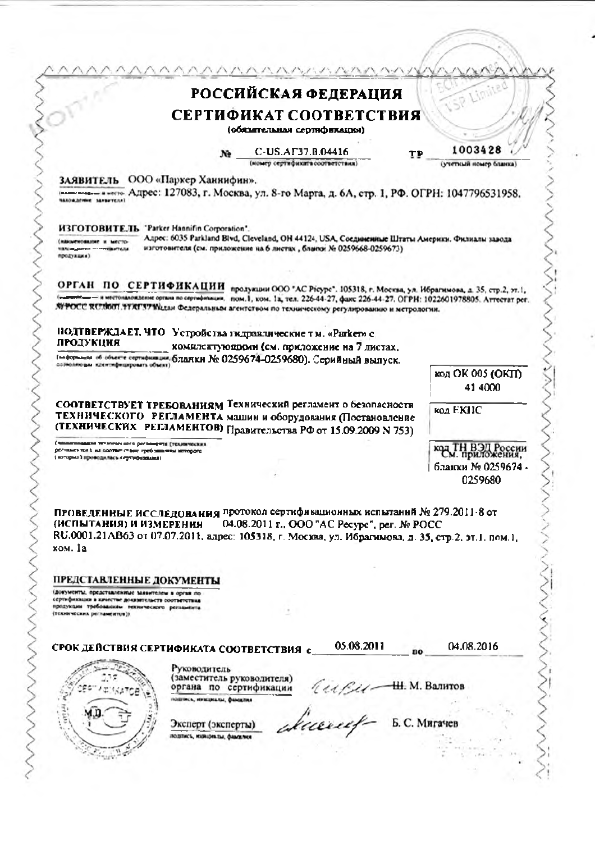| РОССИЙСКАЯ ФЕДЕРАЦИЯ<br>СЕРТИФИКАТ СООТВЕТСТВИЯ<br>(обязательная сертвфикация)<br>Ne C-US.AF37.B.04416<br>ТÞ<br>омер сертификата соответствия)<br>ООО «Паркер Ханнифин».<br>заявитель<br>понимание в него Адрес: 127083, г. Москва, ул. 8-го Марта, д. 6А, стр. 1, РФ. ОГРН: 1047796531958.<br><b>NANOWADITINE SAFEFTERF!</b>                                                                                                                                                                  | SP Limite<br>1003428<br>(учетный номер бланка |
|------------------------------------------------------------------------------------------------------------------------------------------------------------------------------------------------------------------------------------------------------------------------------------------------------------------------------------------------------------------------------------------------------------------------------------------------------------------------------------------------|-----------------------------------------------|
|                                                                                                                                                                                                                                                                                                                                                                                                                                                                                                |                                               |
|                                                                                                                                                                                                                                                                                                                                                                                                                                                                                                |                                               |
|                                                                                                                                                                                                                                                                                                                                                                                                                                                                                                |                                               |
|                                                                                                                                                                                                                                                                                                                                                                                                                                                                                                |                                               |
|                                                                                                                                                                                                                                                                                                                                                                                                                                                                                                |                                               |
| ИЗГОТОВИТЕЛЬ "Parker Hannifin Corporation".<br>Anpec: 6035 Parkland Bivd, Cleveland, OH 44124, USA, Соединенные Штаты Америки. Филиалы завода<br>(NEW R SHAROMERS)<br>изготовителя (см. приложение на 6 листах, благог № 0259668-0259673).<br><b>NEW DEADLESS - CONTRACTANT</b><br>продукция)                                                                                                                                                                                                  |                                               |
| ОРГАН ПО СЕРТИФИКАЦИИ продукции ООО "АС Рісуре". 105318, г. Москва, ул. Ибрагимова, д. 35, стр.2, эт.1,<br>местоналождение органа по сертифичации, пом.1, ком. 1а, тел. 226-44-27, факс 226-44-27. ОГРН: 1022601978805. Аттестат рег.<br>SI POCC RUSSON. TTAT37 SELtan Федеральным агентством по техническому регулярованию и метрологии.                                                                                                                                                      |                                               |
|                                                                                                                                                                                                                                                                                                                                                                                                                                                                                                |                                               |
| ПОДТВЕРЖДАЕТ, ЧТО Устройства гидравлические тм. «Раткет» с<br>ПРОДУКЦИЯ                                                                                                                                                                                                                                                                                                                                                                                                                        |                                               |
| комплектую пром (см. приложение на 7 листах,<br>(перерышки об объекте сортофикация, бладуди № 0259674-0259680). Серийный выпуск.                                                                                                                                                                                                                                                                                                                                                               |                                               |
| породного и идентифицировать объект)                                                                                                                                                                                                                                                                                                                                                                                                                                                           | код ОК 005 (ОКП)                              |
|                                                                                                                                                                                                                                                                                                                                                                                                                                                                                                | 41 4000                                       |
| СООТВЕТСТВУЕТ ТРЕБОВАНИЯМ Технический регламент о безопасности<br>ТЕХНИЧЕСКОГО РЕГЛАМЕНТА машин и оборудования (Постановление<br>(ТЕХНИЧЕСКИХ РЕГЛАМЕНТОВ) Правительства РФ от 15.09.2009 N 753)                                                                                                                                                                                                                                                                                               | код ЕКПС                                      |
| два течачных шил распашента (транечаских<br>реливно на 1 на солтат счене гребова или вплорого                                                                                                                                                                                                                                                                                                                                                                                                  | код ТН ВЭД России<br>См. приложения,          |
| (ноторых ) проводилась сертифизация ).                                                                                                                                                                                                                                                                                                                                                                                                                                                         | бланки № 0259674 -                            |
|                                                                                                                                                                                                                                                                                                                                                                                                                                                                                                | 0259680                                       |
| ПРОВЕДЕННЫЕ ИССЛЕДОВАНИЯ ПРОТОКОЛ СЕРТИФИВАЦИОННЫХ ИСПЫТАНИЙ № 279.2011-8 от<br>04.08.2011 г., ООО "AC Pecype", per. No POCC<br>(ИСПЫТАНИЯ) И ИЗМЕРЕНИЯ<br>RU.0001.21AB63 от 07.07.2011, адрес: 105318, г. Москва, ул. Ибрагимова, д. 35, стр.2, эт.1, пом.1,<br>ком. 1а<br>ПРЕДСТАВЛЕННЫЕ ДОКУМЕНТЫ<br>(документы, представленные заявителем в орган по<br>сертификация в качестве доназвленьств соответствия<br>продукции требованиям технического регионанта<br>(технических реільментов)). |                                               |
|                                                                                                                                                                                                                                                                                                                                                                                                                                                                                                |                                               |
| 05.08.2011<br>СРОК ДЕЙСТВИЯ СЕРТИФИКАТА СООТВЕТСТВИЯ с<br>Руководитель<br>(заместитель руководителя)<br>$(1161 - 11)$ . M. Banuros<br>органа по сертификации                                                                                                                                                                                                                                                                                                                                   | 04.08.2016                                    |
| INSERIOR, HEISEURAISE, QUALISTINE<br>Эксперт (эксперты)                                                                                                                                                                                                                                                                                                                                                                                                                                        | Б. С. Мигачев                                 |
| ROBTICK, MORIDMITH, CANCERNE                                                                                                                                                                                                                                                                                                                                                                                                                                                                   |                                               |

 $\ddot{\phantom{0}}$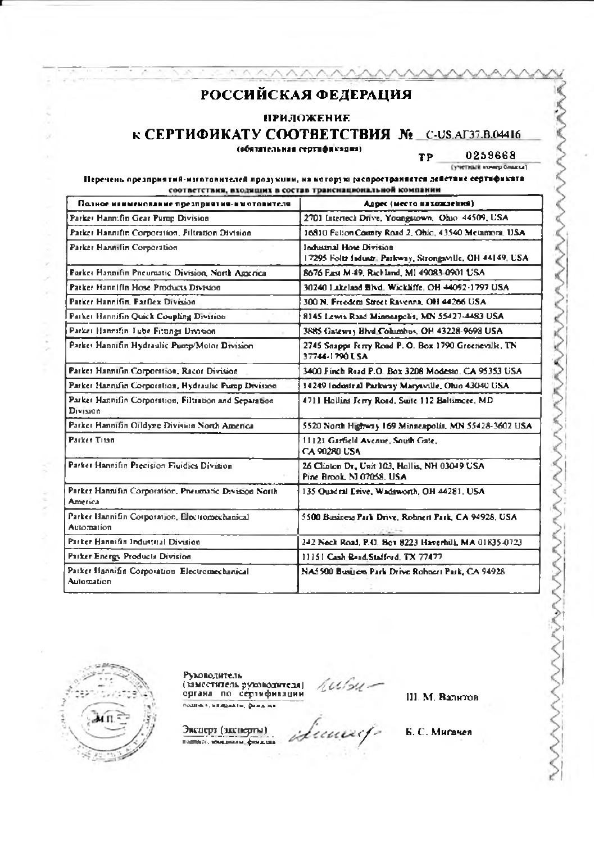**ПРИЛОЖЕНИЕ** 

**К СЕРТИФИКАТУ СООТВЕТСТВИЯ № С-US.AГ37.B.04416** 

(обятательная сертификация)

0259668 **TP** (учетный номер блажка)

#### Перечень предприятий-маготовителей продукции, на которую (испространяется действие сертификата соответствия, входящих в состав трансиациональной компании

| Полное наименование презприятия-им отовителя.                      | Адрес (место нахождения)                                                               |
|--------------------------------------------------------------------|----------------------------------------------------------------------------------------|
| Parker Hann:fin Gear Pump Division                                 | 2701 Interioch Drive, Youngstown, Ohio 44509, USA                                      |
| Patker Hannifin Corporation, Filtration Division                   | 16810 Fulton County Road 2, Ohio, 43540 Mctamora, USA                                  |
| Parker Hannifin Corporation                                        | Industrial Hose Division.<br>17295 Foltz Industr, Parkway, Strongsville, OH 44149, USA |
| Parket Hannifin Pneumatic Division, North America                  | 8676 East M-89, Richland, M1 49083-0901 USA                                            |
| Patker Hannifin Hose Products Division                             | 30240 Lakeland Blvd, Wickliffe, OH 44092-1797 USA                                      |
| Patker Hannifin, Parflex Division.                                 | 300 N. Freedom Street Ravenna, OH 44266 USA                                            |
| Parker Hannifin Quick Coupling Division                            | 8145 Lewis Raad Minneapolis, MN 55427-4483 USA                                         |
| Parker Hannifin Tube Fittings Division                             | 3885 Gateway Blvd Columbus, OH 43228-9698 USA                                          |
| Parker Hannifin Hydraulic Pump/Motor Division                      | 2745 Snapps Ferry Road P. O. Box 1790 Greeneville, TN<br>37744-1790 LSA                |
| Patker Hannifin Corporation, Racor Division                        | 3400 Finch Road P.O. Box 3208 Modesto, CA 95353 USA                                    |
| Parker Hannahn Corporation, Hydraulic Pump Division                | 14249 Industral Parkway Marysville, Ohio 43040 USA                                     |
| Parker Hannifin Corporation, Filtration and Separation<br>Division | 4711 Hollins Ferry Road, Suite 112 Baltimore, MD                                       |
| Patker Hannifin Oildyne Division North America                     | 5520 North Highway 169 Minneapolis, MN 55428-3602 USA                                  |
| Parker Titan                                                       | 11121 Garfield Avenue, South Gate.<br><b>CA 90280 USA</b>                              |
| Patker Hansifin Precision Fluidies Division.                       | 26 Clinton Dr., Unit 103, Hollis, NH 03049 USA<br>Pine Brook, NJ 07058, USA            |
| Parker Hannifin Corporation, Pneumatic Division North<br>America   | 135 Ouadral Erive, Wadsworth, OH 44281, USA                                            |
| Parker Hannifin Corporation, Electromechanical<br>Automation       | 5500 Business Park Drive, Robnert Park, CA 94928, USA                                  |
| Parker Hanaifin Industrial Division                                | 242 Neck Road, P.O. Box 8223 Haverhill, MA 01835-0723                                  |
| Parker Energy Products Division                                    | 11151 Cash Read/Stafford, TX 77477                                                     |
| Patker Hannifin Corporation Electromechanical<br>Automation        | NA5500 Business Park Drive Rohnert Park, CA 94928                                      |



Руководитель (заместитель руководителя)<br>органа по сертификации подписк, влиднить, флад на

 $101/34$ room<br>luuxif

Ш. М. Валитов

Эксперт (эксперты) подпост, мощникам, финалах

Б. С. Мигачея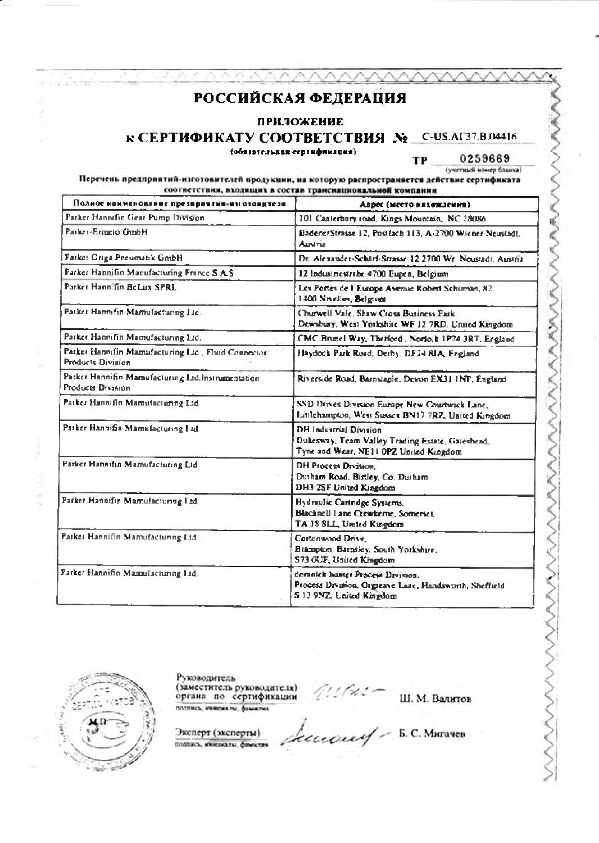#### **ПРИЛОЖЕНИЕ**

### К СЕРТИФИКАТУ СООТВЕТСТВИЯ № С-US.AГ37.B.04416

(обязательная сертификация)

0259669 (учетный номер бланка)

Ş

MAMMANA

Ş

TP

Перечень предприятий-изготовителей продукции, на которую распространяется действие сертификата соответствия, входящих в состав транснациональной компании

| Полное наименование презправтия-им отовителя                                   | Апрес (место нялождения)                                                                                                    |
|--------------------------------------------------------------------------------|-----------------------------------------------------------------------------------------------------------------------------|
| Parker Hannifin Gear Pump Division                                             | 101 Canterbury road, Kings Mountain, NC 28086                                                                               |
| Parker-Ermeto GrnhH                                                            | BadenerStrasse 12, Postfach 113, A-2700 Wiener Neustadt.<br><b>Austria</b>                                                  |
| Patker Origa Pneumatik GmbH                                                    | Dr. Alexander-Schlirf-Strasse 12 2700 Wr. Neustadt, Austria                                                                 |
| Parker Hannifin Manufacturing France S A.S.                                    | 12 Industriestrabe 4700 Eupen, Belgium                                                                                      |
| Patker Hannifin Belaix SPRE                                                    | Les Portes de l'Europe Avenue Robert Schuman, 82<br>1400 Nivelles, Belgium                                                  |
| Parker Hannifin Mamufacturing Ltd.                                             | Churwell Vale, Shaw Cross Business Park.<br>Dewsbury, West Yorkshire WF 12 7RD. United Kingdom                              |
| Patker Hannifin Mamufacturing Ltd.                                             | CMC Brunel Way, Thetford, Norfolk 1P24 3RT, England                                                                         |
| Parket Hannifin Mamufacturing Ltd., Fluid Connector<br>Products Division       | Haydock Park Road, Dethyl, DE24 8JA, England                                                                                |
| Patker Hannifin Mamufacturing Ltd. Instrumentation<br><b>Products Division</b> | Riverside Road, Barnstaple, Devon EX31 INP, England                                                                         |
| Patker Hannifin Mamufacturing Ltd.                                             | SSD Drives Division Europe New Courtwick Lane,<br>Littlehampton, West Sussex BN17 7RZ, United Kingdom                       |
| Parker Hannifin Mamufacturing Ltd.                                             | <b>DH</b> Industrial Division<br>Dukesway, Team Valley Trading Estate, Gateshead.<br>Tyne and Wear, NE11 0PZ United Kingdom |
| Parker Hannifin Mumufacturing Ltd.                                             | <b>DH Process Division.</b><br>Dutham Road, Birtley, Co. Durham<br>DH3 2SF United Kingdom                                   |
| Parker Hannifin Mamufacturing Ltd.                                             | Hydraulic Cartridge Systems.<br>Blacksell 1 and Crewkerne, Somerset,<br>TA 18 SLL, United Kungdom                           |
| Parker Hannifin Mamufacturing Ltd.                                             | Cortonwood Drive,<br>Brazipton, Barnsley, South Yorkshire,<br>S73 OUF, United Kingdom                                       |
| Parker Hannifin Mamufacturing 12d.                                             | domnick bustes Process Drvision.<br>Process Division, Orgreave Lane, Handsworth, Sheffield<br>S 13 9NZ, United Kingdom      |



Руководитель (заместитель руководителя)<br>органа по сертификации

Ш. М. Валитов

Эксперт (эксперты) DOGENCH, MINESKANN, COMMUNIS

Lucius - B.C. Murayes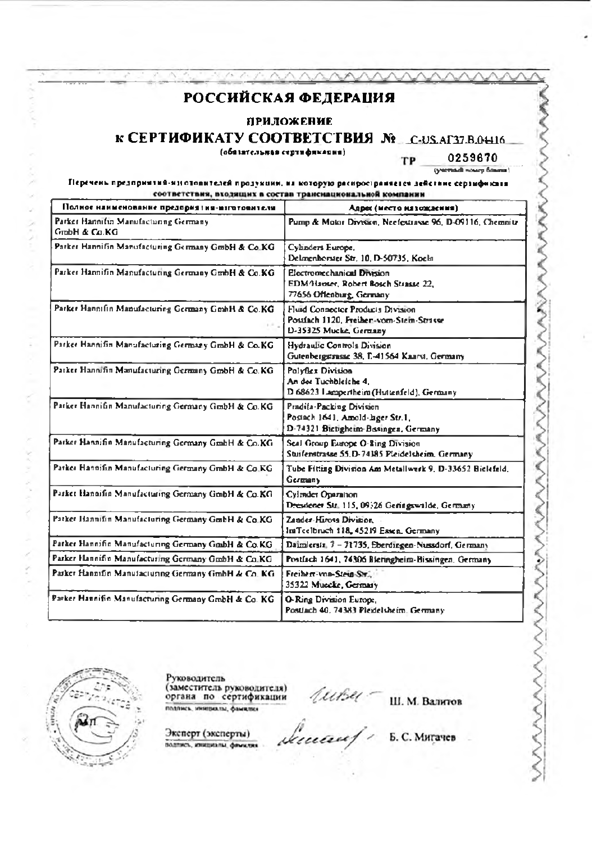**ПРИЛОЖЕНИЕ** 

# **к СЕРТИФИКАТУ СООТВЕТСТВИЯ № С-US.AГ37.B.04116**

(обязательная сертификация)

0259670 (yernadi warp fitumi)

TP

#### Перечень предпринтий-изготовителей продукции, на которую распространнется действие сертификата соответствия, входящих в состав транснациональной компании

| Полное наименование предприятия-изготовителя           | Адрес (место из хождения)                                                                               |
|--------------------------------------------------------|---------------------------------------------------------------------------------------------------------|
| Parker Hannifin Manufacturing Germany<br>Grabh & Co.KG | Pump & Motor Division, Neefestrasse 96, D-09116, Chemnitz                                               |
| Parker Hannifin Manufacturing Germany GmbH & Co.KG     | Cylinders Europe.<br>Delmenhorster Str. 10, D-50735, Koeln.                                             |
| Parker Hannifin Manufacturing Germany GmbH & Co.KG.    | <b>Electromechanical Division</b><br>EDM/Hauser, Robert Bosch Strasse 22,<br>77656 Offenburg, Germany   |
| Parker Hannifin Manufacturing Germany GmhH & Co.KG     | Fluid Connector Products Division<br>Postfach 1120, Freihen-vom-Stein-Strasse<br>D-35325 Mucke, Germany |
| Parker Hannifin Manufacturing Germany GmbH & Co.KG     | Hydraulic Controls Division<br>Gutenbergstrasse 38, E-41564 Kaarst, Germany                             |
| Patker Hannifin Manufacturing Germany GmbH & Co.KG.    | Polyficx Division<br>An der Tuchbleiche 4.<br>D 68623 Lampertheim (Huttenfeld), Germany                 |
| Patker Hannifin Manufacturing Germany GmbH & Co.KG     | Pradifa-Packing Division<br>Postach 1641, Amold-lager Str.1,<br>D-74321 Birtigheim-Basingen, Germany    |
| Parker Hannifin Manufacturing Germany GmbH & Co.KG     | Seal Group Europe O-Ring Division<br>Stuifenstrasse 55.D-74385 Pleidelsheim, Germany                    |
| Parker Hannifin Manufacturing Germany GmbH & Co.KG     | Tube Fitting Division Am Metallwerk 9, D-33652 Bielefeld,<br>Germany.                                   |
| Parket Hannifin Manufacturing Germany GmbH & Co.KG     | Cylinder Oparation<br>Dresdener Str. 115, 09526 Geringswalde, Germany                                   |
| Patker Hannifin Manufacturing Germany GmbH & Co.KG     | Zander-Hirosa Division<br>ImTeelbruch 118, 45219 Essen, Germany                                         |
| Patker Hannifin Manufacturing Germany GmbH & Co.KG     | Daimlersis, 7 - 71735, Eberdingen-Nussdorf, Germany                                                     |
| Parker Hannifin Manufacturing Germany GmbH & Co.KG     | Postfach 1641, 74306 Bieringheim-Bissingen, Germany                                                     |
| Parker Hannifin Manufacturing Germany GmbH & Co. KG    | Freiherr-von-Stein-Str.<br>35322 Muecke, Germany                                                        |
| Parker Hannifin Manufacturing Germany GrobH & Co. KG   | O-Ring Division Europe,<br>Postfach 40, 74383 Pleidelsheim, Germany.                                    |



Руководитель (заместитель руководителя)<br>органа по сертификации полянсь, инициалы, фамилия

Эксперт (эксперты) подпись, инициалы, финксии

linaus

tuber

Б. С. Мигачев

Ш. М. Валитов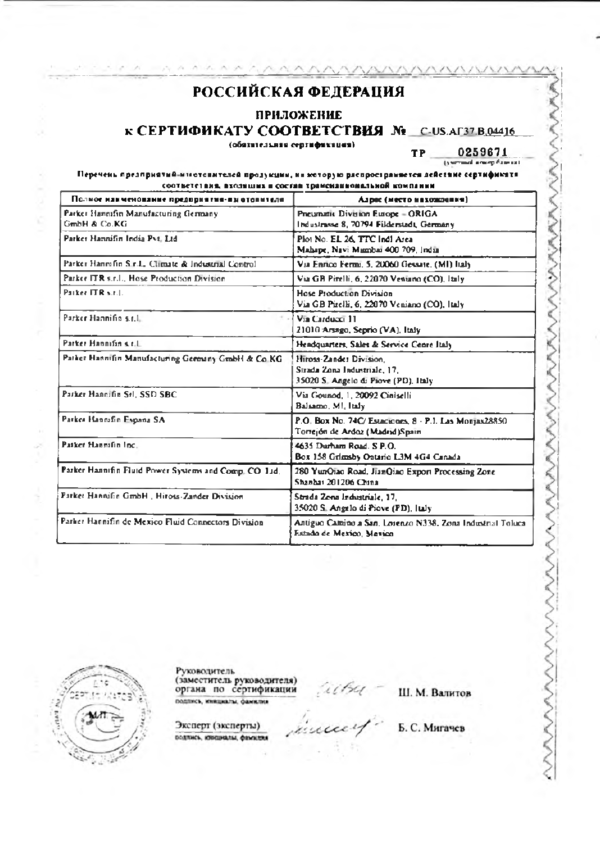#### ПРИЛОЖЕНИЕ

### к СЕРТИФИКАТУ COOTBETCTBИЯ No C-US.AГ37.B.04416

(обязнаельная сертификация).

0259671 TP. (years and a new p-filter at )

#### Перечень презирнатий-мистопителей продукции, на которую распространяется действие сертификата соответствия, входящих в состав трансизивоивльной компании

| Полное наименование предприятия-пы отопителя           | Алрес (место нахожнания)                                                                        |
|--------------------------------------------------------|-------------------------------------------------------------------------------------------------|
| Parker Hannifin Manufacturing Germany.<br>GmbH & Co.KG | Preumatis Division Europe - ORIGA<br>Industriese 8, 70794 Filderstadt, Germany                  |
| Parker Hannifin India Pvt. Ltd.                        | Plot No. EL 26, TTC Indi Area<br>Mahape, Navi Mambai 400 709, India                             |
| Parker Hannifin S.r.L. Climate & Industrial Control    | Via Enrico Fermi, 5, 20060 Gessate, (MI) Italy                                                  |
| Parker ITR s.r.l., Hose Production Division.           | Via GB Pirelli, 6, 22070 Ventuno (CO), Jtaly.                                                   |
| Parker ITR v.r.l.                                      | <b>Hose Production Division</b><br>Via GB Pirelli, 6, 22070 Veniano (CO), Italy                 |
| Parker Hannifin s.r.l.                                 | Via Carducci 11<br>21010 Arsago, Seprio (VA), Italy                                             |
| Parker Hannifin s.r.l.                                 | Hendquarters, Sales & Service Cenre Italy                                                       |
| Pather Hannifin Manufacturing Germany GmbH & Co KG     | Hiross-Zander Division,<br>Sirada Zona Industriale, 17.<br>35020 S. Angelo di Piove (PD), Italy |
| Parker Hannifin Srl. SSD SBC                           | Via Gounod, 1, 20092 Ciniselli<br>Baltamo, MI, Italy.                                           |
| Parker Hannifin España SA                              | P.O. Box No. 74C/ Estaciones, 8 - P.I. Las Monjas28850.<br>Torrejón de Ardoz (Madrid)Spain      |
| Patker Hannifin Inc.,                                  | 4635 Durham Road, S.P.O.<br>Box 158 Grimsby Ontario L3M 4G4 Canada                              |
| Parker Hannifin Fluid Power Systems and Comp. CO 11d.  | 280 YunQiao Road, JianQiao Export Processing Zone<br>Shanbar 201206 China.                      |
| Parket Hannifin GmbH, Hirots-Zander Division           | Strada Zena Industriale, 17.<br>35020 S. Angelo di Piove (PD), Italy                            |
| Parker Hannifin de Mexico Fluid Connectors Division    | Antiguo Camino a San, Loienzo N338, Zona Industrial Toluca<br>Estado de Mexico, Mexico          |



Руководитель (заместитель руководителя)<br>органа по сертификации подпись, инициалы, фанилия

Ш. М. Валитов

incent.

Эксперт (эксперты) DOLTINCS, SOUGHARM, ORWANDS Б. С. Мигачев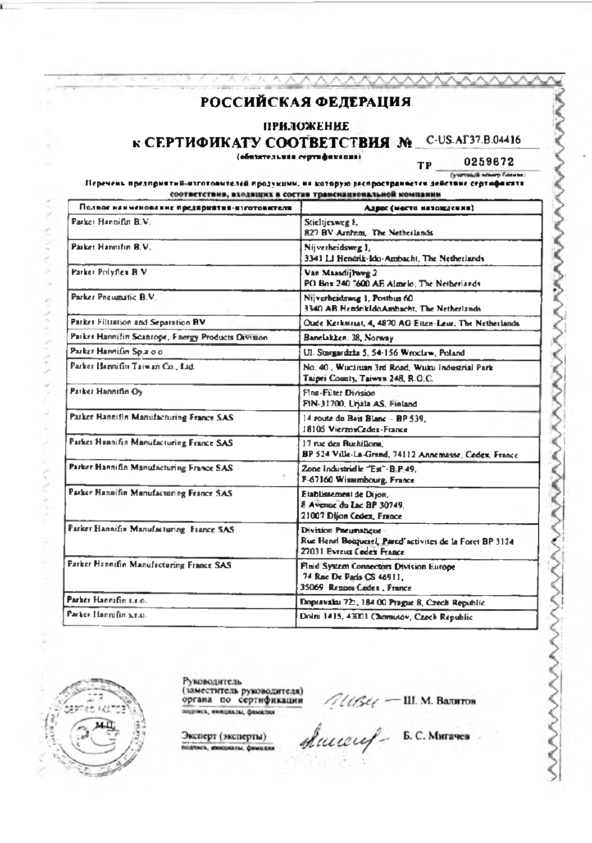### **ПРИЛОЖЕНИЕ**

# к СЕРТИФИКАТУ СООТВЕТСТВИЯ № C-US.AГ37.B.04416

(обвентельная сертификация)

0259672 TP. (учетный момер ближки)

#### Перечень предприятий-изготовителей продукции, на которую распространнется действие сертификата соответствия, входящих в состав трансиациональной компании

| Полное наименование предприятия-изготовителя       | Адрес (место назожаемия)                                                                                      |
|----------------------------------------------------|---------------------------------------------------------------------------------------------------------------|
| Parker Hannifin B.V.                               | Stieltjesweg &<br>827 BV Arnhem. The Netherlands                                                              |
| Parket Hannifin B.V.                               | Nijverheidsweg 1,<br>3341 LJ Hendrik-Ido-Ambacht, The Netherlands                                             |
| Parker Polyflex B.V.                               | Van Maasdijlweg 2<br>PO Box 240 7600 AE Almelo, The Netherlands                                               |
| Parker Preumatic B.V.                              | Nijverheidsing 1, Posthus 60<br>3340 AB Hendrikldo Ambacht, The Netherlands                                   |
| Parker Filtration and Separation BV                | Oude Kerkstriat, 4, 4870 AG Etten-Leur, The Netherlands                                                       |
| Parker Hannifin Scanrope, Fnergy Products Division | Banclakken, 38, Norway                                                                                        |
| Pasker Hannifin Sp.2 00                            | Ul. Stargardzka 5, 54-156 Wroclaw, Poland                                                                     |
| Parket Hannifin Taiwan Co., Ltd.                   | No. 40, Wuchiuan 3rd Road, Wuku Industrial Park<br>Taipei County, Taiwan 248, R.O.C.                          |
| Patker Hannifin Oy                                 | Fine-Filter Draising<br>FIN-31700, Uriala AS, Finland                                                         |
| Parker Hannifin Manufacturing France SAS           | 14 route du Bais Blanc - BP 539.<br>18105 VierzonCedex-France                                                 |
| Parket Hannifin Manufacturing France SAS           | 17 rise des Buchiffons,<br>BP 524 Ville-La-Grund, 74112 Annemasse, Cedex, France                              |
| Parker Hannifln Manufacturing France SAS           | 2one industrielle "Est"-B.P.49.<br>F-67160 Wissumbourg, France                                                |
| Parker Hannifin Manufacturing France SAS           | Etablissement de Dijon,<br>8 Avenue du Lac BP 30749.<br>21007 Dijon Cedex, France                             |
| Parker Hannifin Manufacturing France SAS           | Division Pacumatique<br>Rue Henri Beoguerel, Pared'activites de la Foret BP 3124<br>27031 Evreux Codex France |
| Parker Hannifin Manufacturing France SAS           | Fluid System Connectors Division Europe<br>74 Roc De Paris CS 46911.<br>35069 Rennes Codex, France            |
| Parker Hannifin n.n.o.                             | Dopravalai 72:, 184 00 Prague 8, Czech Republic                                                               |
| Parker Hannifin s.r.o.                             | Dolni 1415, 43001 Chomutov, Czech Republic                                                                    |



ŝ

**ANTIN** 

**NATION** 

Руководитель<br>(заместитель руководителя)<br>органа по сертификации подпись, инициалы, фамклия

Эксперт (эксперты) DOUTHCH, INNESSEATIN, QUINKERS

Aucel - III. M. Barnros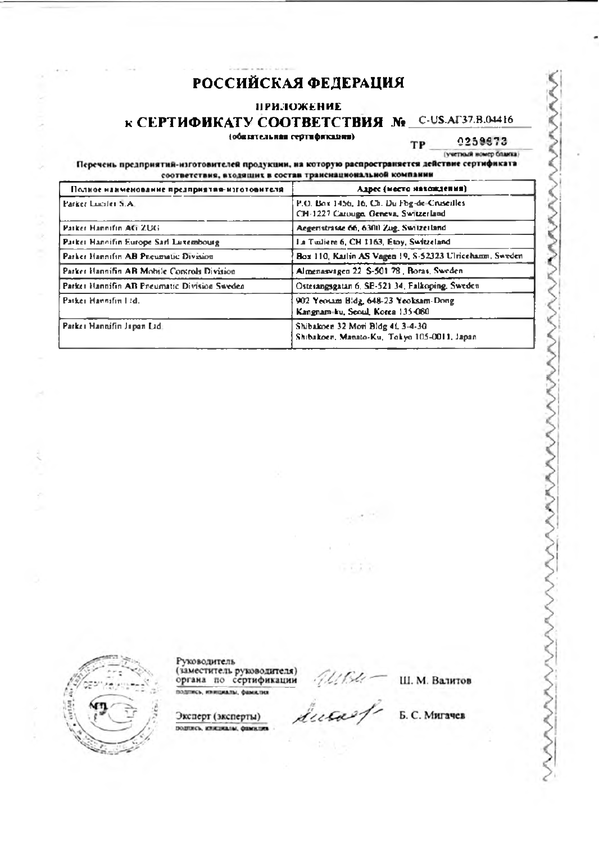### **ПРИЛОЖЕНИЕ**

# **К СЕРТИФИКАТУ СООТВЕТСТВИЯ № C-US-AГ37.B.04416**

#### (обизательная сертификации)

0259673 TP (учетный номер бланка)

Перечень предприятий-изготовителей продукции, на которую распространяется действие сертификата соответствия, входящих в состав трансиациональной компании

| Полное наименование предприятия-изготовителя | Адрес (место нахождения)                                                            |
|----------------------------------------------|-------------------------------------------------------------------------------------|
| Parker Lucifet S.A.                          | P.O. Box 1456, 16, Ch. Du Fog-de-Cruseilles<br>CH-1227 Carouge, Geneva, Switzerland |
| Patker Hannifin AG 2UG                       | Aegeristrasse 66, 6300 Zug, Switzerland                                             |
| Parker Hannifin Europe Sarl Luxembourg       | La Tuiliere 6, CH 1163, Etoy, Switzeland                                            |
| Parker Hannifin AB Preumatic Division.       | Box 110, Kailin AS Vagen 19, S-52323 Ulricehann, Sweden                             |
| Parker Hannifin AR Mobile Controls Division  | Almenasvagen 22, S-501-78, Boras, Sweden                                            |
| Parket Hannifin AB Pneumatic Division Sweden | Osterangsgatan 6, SE-521 34, Falkoping, Sweden                                      |
| Patker Hannifin Ltd.                         | 902 Yeosam Bidg, 648-23 Yeoksam-Dong<br>Kangnam-ku, Seoul, Korea 135-080            |
| Parker Hannifin Japan Lid:                   | Shibakoen 32 Mori Bldg 41, 3-4-30<br>Shibakoen, Manato-Ku, Tokyo 105-0011, Japan    |

ь

Руководитель (заместитель руководителя)<br>органа по сертификации подпись, инициалы, фамилия

Misu-<br>ducae f

 $-7.2.7$ 

Ш. М. Валитов

Эксперт (эксперты) подпись, инжением, фамилии

Б. С. Мигачев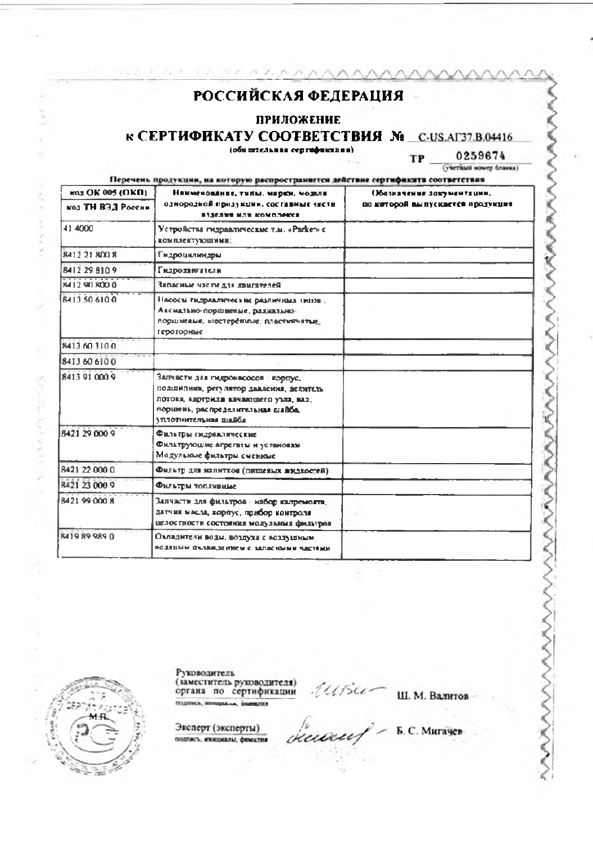1 8 70 25 70

Sept.

**Arrest** 

CALIFACTOR

**CONVICTION** 

#### **ПРИЛОЖЕНИЕ**

к СЕРТИФИКАТУ СООТВЕТСТВИЯ N C-US.AГ37.B.04416

(обязательная сертификация)

0259674 TP (учетный номер бланка)

Перечень продукции, на которую распространяется действие сертификата соответствия

| кол ОК 005 (OKfI)    | Наименование, типы, марки, модели                                                                                                                                                      | Обозначение документации.        |
|----------------------|----------------------------------------------------------------------------------------------------------------------------------------------------------------------------------------|----------------------------------|
| код ТН ВЭД России    | однородной продужини, составные части<br>взделия или комплекса                                                                                                                         | по которой выпускается продукция |
| 41 4000              | Устройства гидравлические т.м. «Parker» с<br><b>КОМПЛЕКТУЮЩИМИ:</b>                                                                                                                    |                                  |
| 8412 21 800 8        | Гидроцилиндры                                                                                                                                                                          |                                  |
| 8412 29 810 9        | Гидродингатели                                                                                                                                                                         |                                  |
| 8412 90 800 0        | Записные части для двигателей                                                                                                                                                          |                                  |
| <b>BATT SO 610 D</b> | Насосы гидравлические различими типов.<br>Аксимльно-поршвеные, развильно-<br>поршиевые, инестеренные, пластиячатые.<br>героториме                                                      |                                  |
| 8413 60 310 0        |                                                                                                                                                                                        |                                  |
| 8413 60 610 0        |                                                                                                                                                                                        |                                  |
| 8413910009           | Запчасти дав гидронасосов : корпус,<br>поданилими, регулятор давления, делитель<br>потова, картрила качающего узла, ваз.<br>поршень, распределительная шайба,<br>утілотнительны піайба |                                  |
| 8421 29 000 9        | Фильтры гидраалические<br>Фильтрующие агрегаты и установки<br>Модульные фильтры сменные                                                                                                |                                  |
| 8421 22 000 0        | Фильтр для манитков (пишевых жидкостей).                                                                                                                                               |                                  |
| R421 23 000 9        | Фильтры топливные                                                                                                                                                                      |                                  |
| 8421 99 000 8        | Запчасти для фильтров - набор капремонта,<br>датчик масла, корпус, прибор контроля<br>шелостности состояния модульных фильтров                                                         |                                  |
| 8419899890           | Охладители воды, воздуха с лоздушимм.<br>ВОЛЯНЫМ ОХЛЮКОСНИЕМ С ЗАПАСНЫМИ ЧАСТЯМИ                                                                                                       |                                  |

Руководитель (заместитель руководителя)<br>органа по сертификации **ROSINKOL** 80 **SERVICE CONTROL** 

Ш. М. Валитов

Эксперт (эксперты) подпись, изнаниями, фимител

deceased. Б. С. Мигачев

 $141540$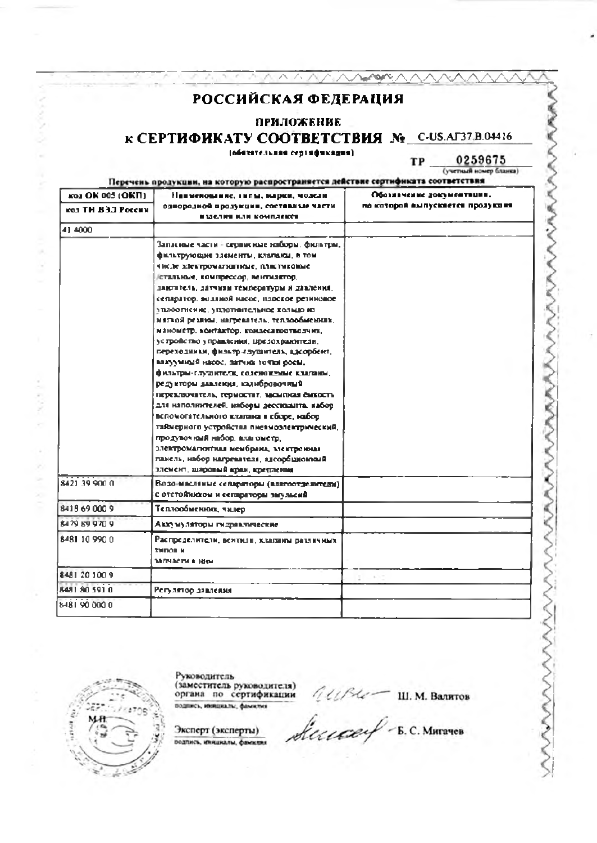### пеиложение

к СЕРТИФИКАТУ СООТВЕТСТВИЯ № C-US.AГ37.B.04416

**NetWARK** 

(обязательная сертяфикация).

 $0259675$ TP.

Перечень продукции, на которую распространяется действие сертификата соответствия

| KOJ OK 005 (OKII)<br>кол ТИ ВЗЛ России | Наименование, типы, марки, молели<br>однородной продукции, составлые части                                                                                                                                                                                                                                                                                                                                                                                                                                                                                                                                                                                                                                                                                                                                                                                                                                               | Обозначение документвции,<br>по которой выпусквется продукция |
|----------------------------------------|--------------------------------------------------------------------------------------------------------------------------------------------------------------------------------------------------------------------------------------------------------------------------------------------------------------------------------------------------------------------------------------------------------------------------------------------------------------------------------------------------------------------------------------------------------------------------------------------------------------------------------------------------------------------------------------------------------------------------------------------------------------------------------------------------------------------------------------------------------------------------------------------------------------------------|---------------------------------------------------------------|
|                                        | ИМСЛИИ ИЛИ КОМПЛЕКСИ                                                                                                                                                                                                                                                                                                                                                                                                                                                                                                                                                                                                                                                                                                                                                                                                                                                                                                     |                                                               |
| 41 4000                                |                                                                                                                                                                                                                                                                                                                                                                                                                                                                                                                                                                                                                                                                                                                                                                                                                                                                                                                          |                                                               |
|                                        | Запленые части – сервисные наборы, фильтры,<br>фильтрующие здементы, клапаны, в том<br>числе электромагиятикые, пластиковые<br>стальные, компрессор, вентилятор,<br>пантитель, датчины температуры и давлення,<br>сепаратор, водиной насос, плоское резиновое<br>уплоотнение, уплотингельное кольцо из<br>мягкой резион, магреватель, теплообмениях,<br>манометр, контактор, кондесатортводчик,<br>устройство управления, предохранители,<br>переходины, фильтр-глушитель, вдеорбент,<br>вакуумный насос, датчик точки росы,<br>фильтры-глушители, соленовеные клатаюм,<br>редукторы давления, кадибровочища<br>переключатель, термостит, засыпная сыкость<br>для наполнителей, изборы дессиканта, набор-<br>вспомогательного клапана в сборе, набор<br>таймерного устройства писамозлектрический,<br>продувочный набор, влагометр,<br>электромагютина мембрана, электронная<br>панель, набор нагревателя, адсорбционный |                                                               |
|                                        | элемент, шаровый краи, крезления                                                                                                                                                                                                                                                                                                                                                                                                                                                                                                                                                                                                                                                                                                                                                                                                                                                                                         |                                                               |
| 8421.39.900.0                          | Водо-масляные сепараторы (взитостделители)<br>С ОТСТОЙНИХОМ И СЕГОДАТОВЫ ЭМУЛЬСИЙ                                                                                                                                                                                                                                                                                                                                                                                                                                                                                                                                                                                                                                                                                                                                                                                                                                        |                                                               |
| 8418 69 000 9                          | Теплообменник, чилер                                                                                                                                                                                                                                                                                                                                                                                                                                                                                                                                                                                                                                                                                                                                                                                                                                                                                                     |                                                               |
| 8479 89 970 9                          | Аккумуляторы гидравлическяе                                                                                                                                                                                                                                                                                                                                                                                                                                                                                                                                                                                                                                                                                                                                                                                                                                                                                              |                                                               |
| 8481 10 990 0                          | Распределители, вентили, клатаны различных<br><b>210000 M</b><br><b>13 RY &amp;C TH &amp; HOOK</b>                                                                                                                                                                                                                                                                                                                                                                                                                                                                                                                                                                                                                                                                                                                                                                                                                       |                                                               |
| 8481-20100.9                           |                                                                                                                                                                                                                                                                                                                                                                                                                                                                                                                                                                                                                                                                                                                                                                                                                                                                                                                          |                                                               |
| 8481 80 591 0                          | Регулятор давления                                                                                                                                                                                                                                                                                                                                                                                                                                                                                                                                                                                                                                                                                                                                                                                                                                                                                                       |                                                               |
| 8481 90 000 0                          |                                                                                                                                                                                                                                                                                                                                                                                                                                                                                                                                                                                                                                                                                                                                                                                                                                                                                                                          |                                                               |

Руководитель<br>(заместитель руководителя)<br>органа по сертификации подпись, инициалы, фамилия

Эксперт (эксперты) подпись, инжаналы, фанктин AUPLE III. M. Bannros

Secure - B.C. MATTREB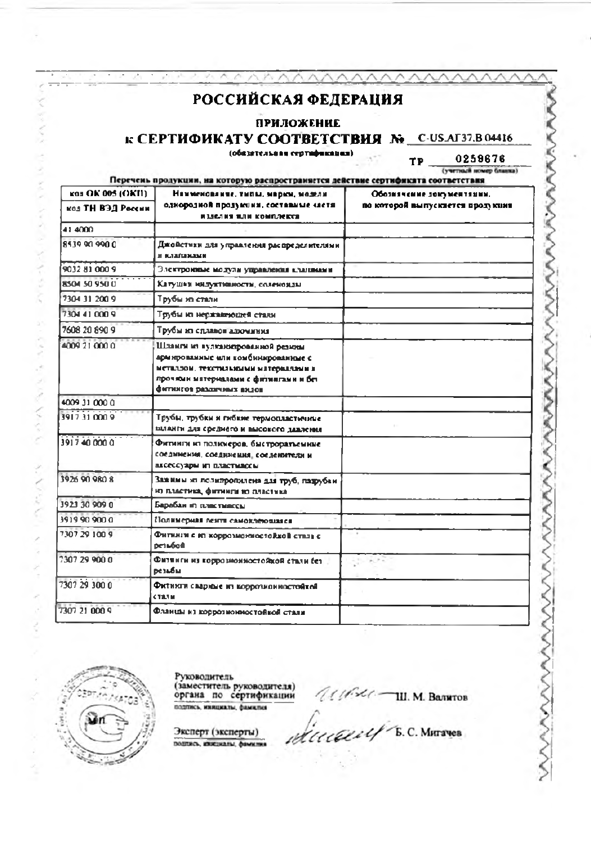### **ПРИЛОЖЕНИЕ**

к СЕРТИФИКАТУ СООТВЕТСТВИЯ № C-USAГ37.B 04416

(обязательная сертафикация)

0259676 (учетный номер бланка)

**TP** 

Перечень продукции, на которую распространяется действие сертификата соответствия

| K03 OK 005 (OKII) | Намменование, типы, марки, модели<br>Обозначение документации.                                                                                                                               |                                  |
|-------------------|----------------------------------------------------------------------------------------------------------------------------------------------------------------------------------------------|----------------------------------|
| код ТН ВЭД России | однородной продукции, составные «летя<br>изделия или комплекса                                                                                                                               | по которой выпускиется продукция |
| 41,4000           |                                                                                                                                                                                              |                                  |
| 8539.90.990.0     | Джойстики для управления распределителями<br>И КЛЯГИМАМ                                                                                                                                      |                                  |
| 9032 81 000 9     | Электронные модули управления кланимии                                                                                                                                                       |                                  |
| 8504.50.950.0     | Катушки нидуктивности, соленоиды                                                                                                                                                             |                                  |
| 7304 31 200 9     | Трубы из стали                                                                                                                                                                               |                                  |
| 7304 41 000 9     | Трубы из нержавношей стали                                                                                                                                                                   |                                  |
| 7608 20 890 9     | Трубы из сдавнов адоминия                                                                                                                                                                    |                                  |
| 4009 21 000 0     | Шланги из вулканиерованной резины<br>армированные или комбинированные с<br>неталдом, текстильными материалами в<br>прочями мятериалами с физиигами и бет<br><b>CHITRING DESIGNARY BILSON</b> |                                  |
| 4009 31 000 0     |                                                                                                                                                                                              |                                  |
| 3917310009        | Трубы, трубки и гибкие термопластичные<br>шланги для среднего и высокого давления                                                                                                            |                                  |
| 391740.000.0      | Фитинги из полюмеров, быстроратьемные<br>соединения, соединения, соеденители и<br>аксессуары из пластивосы                                                                                   |                                  |
| 3926 90 980 8     | Зажимы из полипропилена для труб, падрубки<br>из пластика, фитиили но пластика                                                                                                               |                                  |
| 3923 30 909 0     | Барабан из пластмассы                                                                                                                                                                        |                                  |
| 3919 90 900 0     | Полимерная лента самоклековнаяся                                                                                                                                                             |                                  |
| 7307.29.100.9     | Фитинги с из коррозмонностойкой стаза с<br>осзыбой                                                                                                                                           |                                  |
| 7307 29 900 0     | Фитинги из коррозномностойкой стали (ст.<br>резьбы                                                                                                                                           | ラジー                              |
| 7307 29 300 0     | Фитинги свариме из коррозионностойкой<br><b>CTANM</b>                                                                                                                                        |                                  |
| 7307 21 000 9     | Фланцы из коррозноюмостойкой стали                                                                                                                                                           |                                  |



×

**SHANNON** 

Newpark

Руководитель (заместитель руководителя)<br>органа по сертификации подпись, инициалы, фамилия

Эксперт (эксперты) подпись, кождиалы, фамилия

Ulfist Jul. M. Bankros

dicecent B.C. MATTNES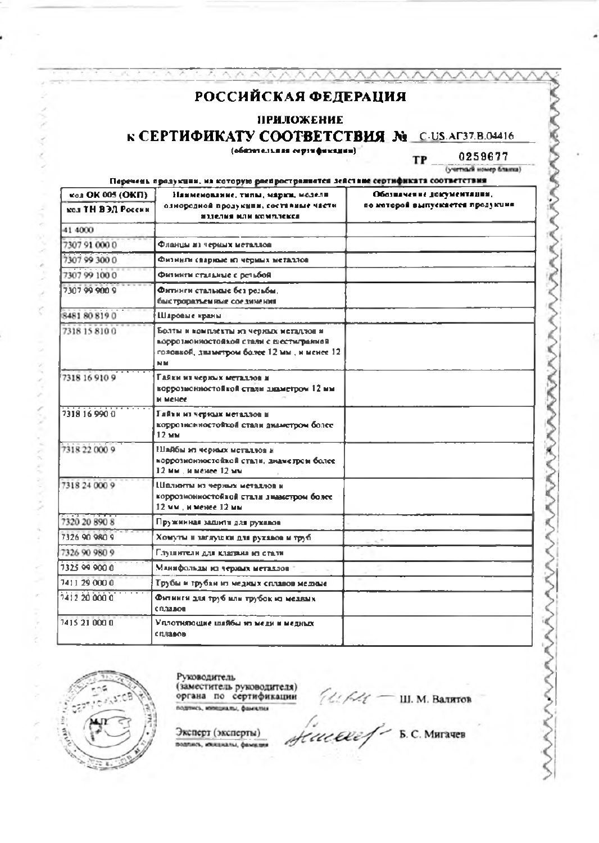#### ПРИЛОЖЕНИЕ

### **К СЕРТИФИКАТУ СООТВЕТСТВИЯ No C-US.AГ37.B.04416**

ハハ

(общительная сертификации)

0259677 **TP** (учетный номер бланка)

NAMA

Перечень продукции, на которую распространнется действие сертификата соответствия

| кол ОК 005 (ОКП)  | Наименование, типы, марки, нодели                                                                                                         | Обозначение документации,        |
|-------------------|-------------------------------------------------------------------------------------------------------------------------------------------|----------------------------------|
| кол ТН ВЭЛ России | ознородной продукули, составные части<br>ИЗЗАЛИЯ ИЛИ КОМПЛАКСА                                                                            | по которой выпускается продукция |
| 41 4000           |                                                                                                                                           |                                  |
| 7307 91 000 0     | Фланцы из черных металлов                                                                                                                 |                                  |
| 7307 99 300 0     | Физинги свариме из черинх металлов                                                                                                        |                                  |
| 7307 99 1000      | Фитинги стальные с петьбой                                                                                                                |                                  |
| 7307999009        | Фитинги стальные без разьбы,<br>быстроразъемные соединения                                                                                |                                  |
| 8481808190        | Шаровые краны                                                                                                                             |                                  |
| 7318 15 8100      | Болты и комплекты из чериых метадлов и<br>коррознонностойкой стали с шестигранной<br>головкой, диаметром более 12 мм, и менее 12.<br>M M. |                                  |
| 7318 16 910 9     | Гайки из черных металлов и<br>коррозионностойкой стали знаметром 12 мм<br>и менее.                                                        |                                  |
| 7318 16 990 0     | Гайти из черных металлов и<br>коррозновностойкой стали диаметром более<br>12 MM                                                           |                                  |
| 7318 22 000 9     | Плябы из черных металлов и<br>коррознонностойкой стали, диаметром более-<br>12 мм. и менее 12 мм                                          |                                  |
| 7318 24 000 9     | Шалюты из черных металлов и<br>коррознонностойкой стали знаметром более.<br>12 мм, и менее 12 мм                                          |                                  |
| 7320 20 890 8     | Пружинная задисти для рукавов.                                                                                                            |                                  |
| 7326 90 980 9     | Хомуты и заглушки для рукавов и труб.                                                                                                     |                                  |
| 7326 90 980 9     | Глуцантели для клатана на стали.                                                                                                          |                                  |
| 7325 09 900 0     | Млинфольды из черных металлов                                                                                                             |                                  |
| 7411 29 000 0     | Трубы и трубан из медиых сплавов медиме                                                                                                   |                                  |
| 7412 20 000 0     | Фитинги для труб или трубок из медями<br>сплавов                                                                                          |                                  |
| 7415 21 000 0     | Уплотипошие шайбы из меди и медиксе<br><b>CIULIAOR</b>                                                                                    |                                  |



**A DE PERSONA DE VA** 

Руководитель

(заместитель руководителя)<br>органа по сертификации подпись, инициалы, фамилия

 $\mathcal{U}/\mathcal{U} = \mathfrak{m}$ . М. Валятов

Эксперт (эксперты) подпись, ихициалы, фамалия

Sinceref - B.C. MATANER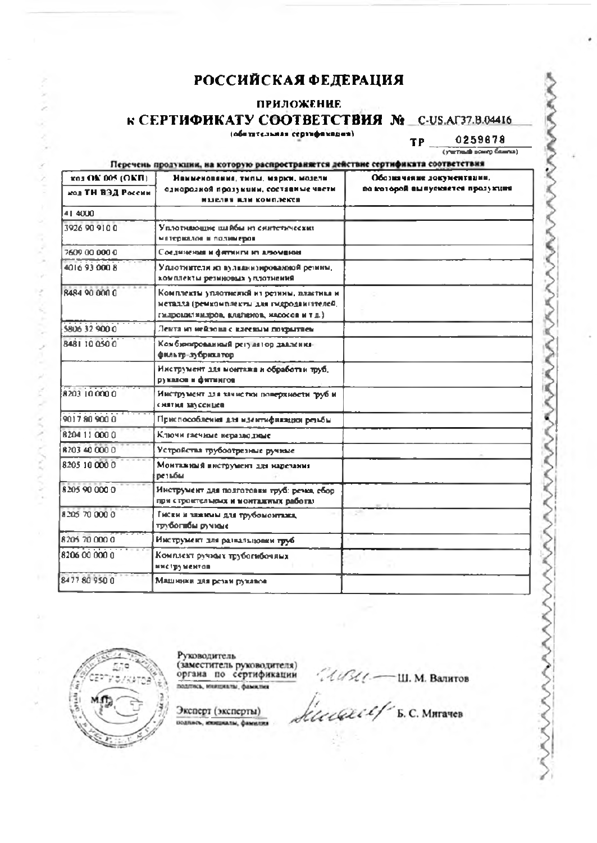# **ПРИЛОЖЕНИЕ**

#### **К СЕРТИФИКАТУ СООТВЕТСТВИЯ № С-US.AГ37.B.04416** (ofentensaas cepindavanas).

0259678 TP

(yermail sover faunce)

Перечень продукции, на которую распространяется действие сертификата соответствия **R03 OK 005 (OKB)** Обозначение документации. Намменования, типы, марки, моделипо которой выпускается прозукция однородной продукции, составные части. **MOJ TH BEE POCCHN** извелия или комплекса 41,4000 3926 90 910 0 Уплотнающие шайбы из синтетических .<br>Материалов и полимеров 2609.00.000.0 Соединения и фитинги из алюмании 4016 93 000 8 Уплотивтеля из вулканизированной резины, хомплекты резиновых уплотнений 8484 90 000 0 .<br>Комплекты уплотивной из резины, пластика и неталла (ремкомплекты для гидродвигателей, гилронилныхров, клаленов, масосов и т д.) 5806 32 900 0 Лента из нейлова с влеевым похрыткем 8481 10 050 0 Комбинированный регулятор давленияфильтр-лубрикатор Инструмент для монтажа и обработии труб. рукалов и фитингов 8203 100000 Инструмент для зачистю, поверхности труб и снятия заусенцев 9017809000 Приспособления для идентификации верьбы. 820411-000.0 Ключи глечиме неразволяме 8203 40 000 0 Устройства трубоотрезные ручные 8205 10 000 0 Монтакимй инструмент для нарезания резьбы 8205 90 000 0 Инструмент для полготовки труб: речка, сбор. при строительных и монтажных работах 8205 70 000 0 Гиски и зажимы для трубомонтами, трубогабы ручкые 8205 70 000 0 Инструмент для развальновим груб. 8206 00 000 0 Комплект ручмых трубогибочных ниструментов 8477809500 Машинки для резки рукавов



 $\mu$ 

Are NAN-APAN A

Руководитель (заместитель руководителя)<br>органа по сертификации подпись, инициалы, фамилия

Эксперт (эксперты) подпись, инициалы, фамилия

 $14$   $4$   $4$   $4$   $-$  Ш. М. Валитов

*Execut E.C. MATANED* 

www.www.www.www.www.ww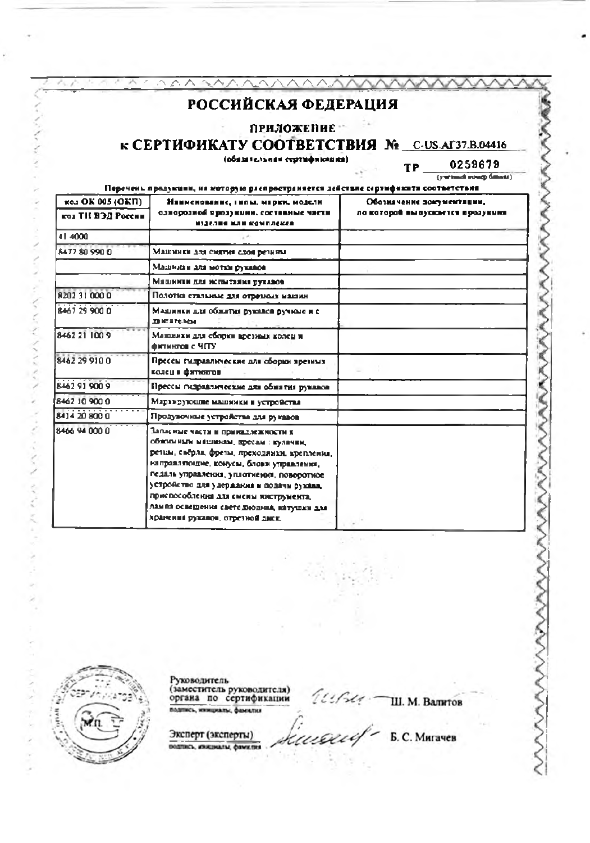| РОССИЙСКАЯ ФЕДЕРАЦИЯ<br><b>ПРИЛОЖЕНИЕ</b><br>к СЕРТИФИКАТУ СООТВЕТСТВИЯ No C-US.AГ37.B.04416<br>(обязательная сертификация).<br>0259679<br>TP.<br>(yernack source filmest)<br>Перечень продукции, на которую распространяется действие сертификита соответствия |                                                                                                                                                                                                                                                                                                                                                                                         |                                                               |
|-----------------------------------------------------------------------------------------------------------------------------------------------------------------------------------------------------------------------------------------------------------------|-----------------------------------------------------------------------------------------------------------------------------------------------------------------------------------------------------------------------------------------------------------------------------------------------------------------------------------------------------------------------------------------|---------------------------------------------------------------|
| K03 OK 005 (OKII)<br>кол ТИ ВЭД России                                                                                                                                                                                                                          | Наименование, гипы, марки, модели<br>однорозной продукции, составные части<br>нізелия мли комплекся                                                                                                                                                                                                                                                                                     | Обозначение документации,<br>ло которой выпускиется прозукими |
| 41 4000                                                                                                                                                                                                                                                         |                                                                                                                                                                                                                                                                                                                                                                                         |                                                               |
| 8477 80 990 0                                                                                                                                                                                                                                                   | Машинки для снятия слоя резины                                                                                                                                                                                                                                                                                                                                                          |                                                               |
|                                                                                                                                                                                                                                                                 | Машинки для мотки рукавов                                                                                                                                                                                                                                                                                                                                                               |                                                               |
|                                                                                                                                                                                                                                                                 | Мяшинки для испытания рукавов                                                                                                                                                                                                                                                                                                                                                           |                                                               |
| 8202 31 000 0                                                                                                                                                                                                                                                   | Полотка стальные для отремом машин                                                                                                                                                                                                                                                                                                                                                      |                                                               |
| 8467 29 900 0                                                                                                                                                                                                                                                   | Машинки для обжития рукалов ручные и с<br><b>ZENTETENSK</b>                                                                                                                                                                                                                                                                                                                             |                                                               |
| 8462 21 100 9                                                                                                                                                                                                                                                   | Машинки для сборки врезных колец и<br>фитингов с ЧПУ                                                                                                                                                                                                                                                                                                                                    |                                                               |
| 8462.29.910.0                                                                                                                                                                                                                                                   | Пресем гидраалические аля оборки времных<br>колец и фитингов                                                                                                                                                                                                                                                                                                                            |                                                               |
| <b>8462.91.900.9</b>                                                                                                                                                                                                                                            | Прессы гидраалические для обжития рукавов                                                                                                                                                                                                                                                                                                                                               |                                                               |
| 8462 10 900 0                                                                                                                                                                                                                                                   | Маранрующие манинки и устройства                                                                                                                                                                                                                                                                                                                                                        |                                                               |
| 8414-20 800.0                                                                                                                                                                                                                                                   | Продувочные устройства для рукавов                                                                                                                                                                                                                                                                                                                                                      |                                                               |
| 8466.94.000.0.                                                                                                                                                                                                                                                  | Запасные части и принадлежности х<br>обжными машинам, пресам : кулачки,<br>ретцы, свёрла, фреты, преходянки, крепления,<br>направляющие, конусы, блови управления,<br>педаль управления, уплотнения, поворотное<br>устройство для удержания и подачи руквая.<br>приспособления для смены инструмента,<br>лампа освещения свето диодина, катушки для<br>хранения рукавов, отрезной диск. |                                                               |



**NAMES OF STRAIN** 

Services and

**CONTACT** 

THE PPC AND

Руководитель<br>(заместитель руководителя)<br>органа по сертификации

 $i$ usu -III. M. Banrtos

Эксперт (эксперты) подпись, инкциалы, фамилия

Б. С. Мигачев

wwwwww

kacaef-